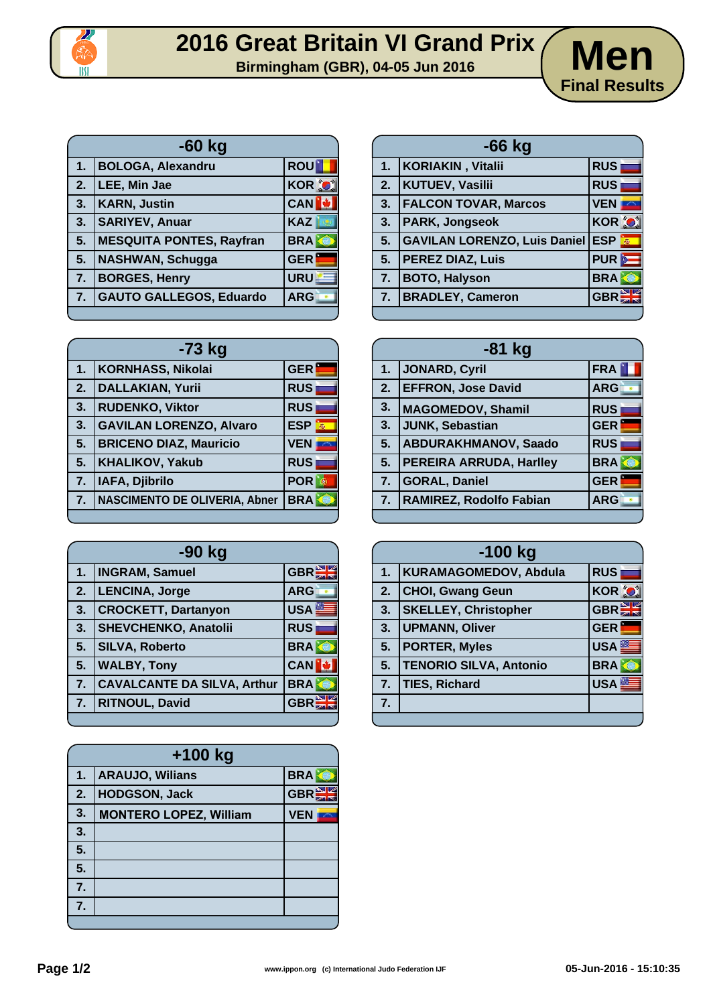

| <b>ROU</b><br><b>BOLOGA, Alexandru</b><br>1 <sub>1</sub>       |              |
|----------------------------------------------------------------|--------------|
| LEE, Min Jae<br>$\overline{2}$ .                               | <b>KOR O</b> |
| <b>KARN, Justin</b><br>3.                                      | <b>CAN</b>   |
| <b>KAZ</b><br><b>SARIYEV, Anuar</b><br>3.                      |              |
| <b>MESQUITA PONTES, Rayfran</b><br>5.                          | <b>BRAK</b>  |
| <b>NASHWAN, Schugga</b><br><b>GER</b><br>5.                    |              |
| <b>BORGES, Henry</b><br>$\overline{7}$ .                       | URU          |
| <b>GAUTO GALLEGOS, Eduardo</b><br><b>ARG</b><br>7 <sub>1</sub> |              |

|    | $-66$ kg                                |                  |  |  |  |
|----|-----------------------------------------|------------------|--|--|--|
| 1. | KORIAKIN, Vitalii                       | <b>RUS</b>       |  |  |  |
| 2. | KUTUEV, Vasilii                         | <b>RUS</b>       |  |  |  |
|    | 3.   FALCON TOVAR, Marcos               | <b>VEN</b>       |  |  |  |
| 3. | <b>PARK, Jongseok</b>                   | <b>KOR O</b>     |  |  |  |
| 5. | <b>SAVILAN LORENZO, Luis Daniel ESP</b> |                  |  |  |  |
|    | 5. PEREZ DIAZ, Luis                     | PUR <sup>2</sup> |  |  |  |
| 7. | <b>BOTO, Halyson</b>                    | <b>BRA</b>       |  |  |  |
|    | 7. BRADLEY, Cameron                     | GBR              |  |  |  |

**Final Results**

| $-73$ kg |                                      |                 |  |  |
|----------|--------------------------------------|-----------------|--|--|
| 1.       | <b>KORNHASS, Nikolai</b>             | <b>GER</b>      |  |  |
| 2.       | <b>DALLAKIAN, Yurii</b>              | <b>RUS</b>      |  |  |
| 3.       | <b>RUDENKO, Viktor</b>               | <b>RUS</b>      |  |  |
| 3.       | <b>GAVILAN LORENZO, Alvaro</b>       | <b>ESP</b><br>燕 |  |  |
| 5.       | <b>BRICENO DIAZ, Mauricio</b>        | <b>VEN</b>      |  |  |
| 5.       | <b>KHALIKOV, Yakub</b>               | <b>RUS</b>      |  |  |
| 7.       | IAFA, Djibrilo                       | <b>POR</b>      |  |  |
| 7.       | <b>NASCIMENTO DE OLIVERIA, Abner</b> | <b>BRA</b>      |  |  |
|          |                                      |                 |  |  |

| -90 kg |                                    |              |  |
|--------|------------------------------------|--------------|--|
| 1.     | <b>INGRAM, Samuel</b>              | <b>GBRE</b>  |  |
| 2.     | LENCINA, Jorge                     | <b>ARG</b>   |  |
| 3.     | <b>CROCKETT, Dartanyon</b>         | <b>USA</b>   |  |
| 3.     | <b>SHEVCHENKO, Anatolii</b>        | <b>RUS</b>   |  |
| 5.     | <b>SILVA, Roberto</b>              | <b>BRA</b>   |  |
| 5.     | <b>WALBY, Tony</b>                 | <b>CAN</b>   |  |
| 7.     | <b>CAVALCANTE DA SILVA, Arthur</b> | <b>BRA</b>   |  |
| 7.     | <b>RITNOUL, David</b>              | $GBR \equiv$ |  |
|        |                                    |              |  |

| $+100$ kg |                               |              |  |  |
|-----------|-------------------------------|--------------|--|--|
| 1.        | <b>ARAUJO, Wilians</b>        | <b>BRA</b>   |  |  |
| 2.        | <b>HODGSON, Jack</b>          | <b>GBRET</b> |  |  |
| 3.        | <b>MONTERO LOPEZ, William</b> | <b>VEN</b>   |  |  |
| 3.        |                               |              |  |  |
| 5.        |                               |              |  |  |
| 5.        |                               |              |  |  |
| 7.        |                               |              |  |  |
| 7.        |                               |              |  |  |
|           |                               |              |  |  |

| $-73$ kg                             |                  | $-81$ kg |                                |            |
|--------------------------------------|------------------|----------|--------------------------------|------------|
| <b>KORNHASS, Nikolai</b>             | <b>GER</b>       | 1.       | <b>JONARD, Cyril</b>           | <b>FRA</b> |
| <b>DALLAKIAN, Yurii</b>              | <b>RUS</b>       | 2.       | <b>EFFRON, Jose David</b>      | <b>ARG</b> |
| <b>RUDENKO, Viktor</b>               | <b>RUS</b>       | 3.       | <b>MAGOMEDOV, Shamil</b>       | <b>RUS</b> |
| <b>GAVILAN LORENZO, Alvaro</b>       | ESP <sup>E</sup> | 3.       | JUNK, Sebastian                | <b>GER</b> |
| <b>BRICENO DIAZ, Mauricio</b>        | <b>VEN</b>       | 5.       | <b>ABDURAKHMANOV, Saado</b>    | <b>RUS</b> |
| KHALIKOV, Yakub                      | <b>RUS</b>       | 5.       | <b>PEREIRA ARRUDA, Harlley</b> | <b>BRA</b> |
| IAFA, Djibrilo                       | <b>POR</b>       | 7.       | GORAL, Daniel                  | <b>GER</b> |
| <b>NASCIMENTO DE OLIVERIA, Abner</b> | <b>BRA</b>       | 7.       | RAMIREZ, Rodolfo Fabian        | <b>ARG</b> |
|                                      |                  |          |                                |            |

| $-100$ kg |                               |              |  |  |
|-----------|-------------------------------|--------------|--|--|
| 1.        | KURAMAGOMEDOV, Abdula         | <b>RUS</b>   |  |  |
| 2.        | <b>CHOI, Gwang Geun</b>       | <b>KOR O</b> |  |  |
| 3.        | <b>SKELLEY, Christopher</b>   | <b>GBR</b>   |  |  |
| 3.        | <b>UPMANN, Oliver</b>         | <b>GER</b>   |  |  |
| 5.        | <b>PORTER, Myles</b>          | <b>USA</b>   |  |  |
| 5.        | <b>TENORIO SILVA, Antonio</b> | <b>BRA</b>   |  |  |
| 7.        | <b>TIES, Richard</b>          | <b>USA</b>   |  |  |
| 7.        |                               |              |  |  |
|           |                               |              |  |  |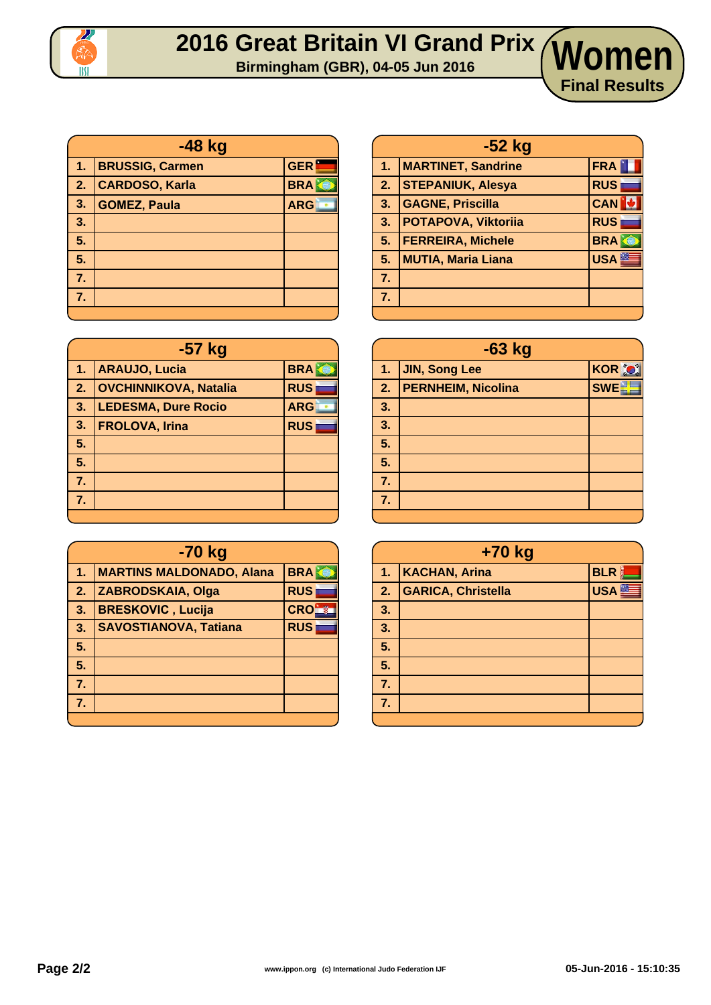

#### **2016 Great Britain VI Grand Prix Birmingham (GBR), 04-05 Jun 2016 Women**

| -48 kg     |                        |            |  |
|------------|------------------------|------------|--|
| 4,         | <b>BRUSSIG, Carmen</b> | <b>GER</b> |  |
| $\vert$ 2. | <b>CARDOSO, Karla</b>  | <b>BRA</b> |  |
| $\vert$ 3. | <b>GOMEZ, Paula</b>    | <b>ARG</b> |  |
| 3.         |                        |            |  |
| 5.         |                        |            |  |
| 5.         |                        |            |  |
| 7.         |                        |            |  |
| 7.         |                        |            |  |
|            |                        |            |  |

| -57 kg |                              |            |  |  |
|--------|------------------------------|------------|--|--|
| 1.     | <b>ARAUJO, Lucia</b>         | <b>BRA</b> |  |  |
| 2.     | <b>OVCHINNIKOVA, Natalia</b> | <b>RUS</b> |  |  |
| 3.     | <b>LEDESMA, Dure Rocio</b>   | <b>ARG</b> |  |  |
| 3.     | <b>FROLOVA, Irina</b>        | <b>RUS</b> |  |  |
| 5.     |                              |            |  |  |
| 5.     |                              |            |  |  |
| 7.     |                              |            |  |  |
| 7.     |                              |            |  |  |
|        |                              |            |  |  |

| -70 kg |                                 |            |  |  |
|--------|---------------------------------|------------|--|--|
| 1.     | <b>MARTINS MALDONADO, Alana</b> | <b>BRA</b> |  |  |
| 2.     | <b>ZABRODSKAIA, Olga</b>        | <b>RUS</b> |  |  |
| 3.     | <b>BRESKOVIC, Lucija</b>        | <b>CRO</b> |  |  |
| 3.     | <b>SAVOSTIANOVA, Tatiana</b>    | <b>RUS</b> |  |  |
| 5.     |                                 |            |  |  |
| 5.     |                                 |            |  |  |
| 7.     |                                 |            |  |  |
| 7.     |                                 |            |  |  |
|        |                                 |            |  |  |

| $-52$ kg |                           |            |  |
|----------|---------------------------|------------|--|
| 1.       | <b>MARTINET, Sandrine</b> | <b>FRA</b> |  |
| 2.       | <b>STEPANIUK, Alesya</b>  | <b>RUS</b> |  |
| 3.       | <b>GAGNE, Priscilla</b>   | <b>CAN</b> |  |
| 3.       | POTAPOVA, Viktoriia       | <b>RUS</b> |  |
| 5.       | <b>FERREIRA, Michele</b>  | <b>BRA</b> |  |
| 5.       | <b>MUTIA, Maria Liana</b> | <b>USA</b> |  |
| 7.       |                           |            |  |
| 7.       |                           |            |  |
|          |                           |            |  |

**Final Results**

| $-63$ kg |                           |               |  |
|----------|---------------------------|---------------|--|
| 1.       | JIN, Song Lee             | <b>KOR OF</b> |  |
| 2.       | <b>PERNHEIM, Nicolina</b> | <b>SWE-H</b>  |  |
| 3.       |                           |               |  |
| 3.       |                           |               |  |
| 5.       |                           |               |  |
| 5.       |                           |               |  |
| 7.       |                           |               |  |
| 7.       |                           |               |  |
|          |                           |               |  |

| +70 kg |                           |            |  |  |  |  |
|--------|---------------------------|------------|--|--|--|--|
| 4.     | <b>KACHAN, Arina</b>      | <b>BLR</b> |  |  |  |  |
| 2.     | <b>GARICA, Christella</b> | <b>USA</b> |  |  |  |  |
| 3.     |                           |            |  |  |  |  |
| 3.     |                           |            |  |  |  |  |
| 5.     |                           |            |  |  |  |  |
| 5.     |                           |            |  |  |  |  |
| 7.     |                           |            |  |  |  |  |
| 7.     |                           |            |  |  |  |  |
|        |                           |            |  |  |  |  |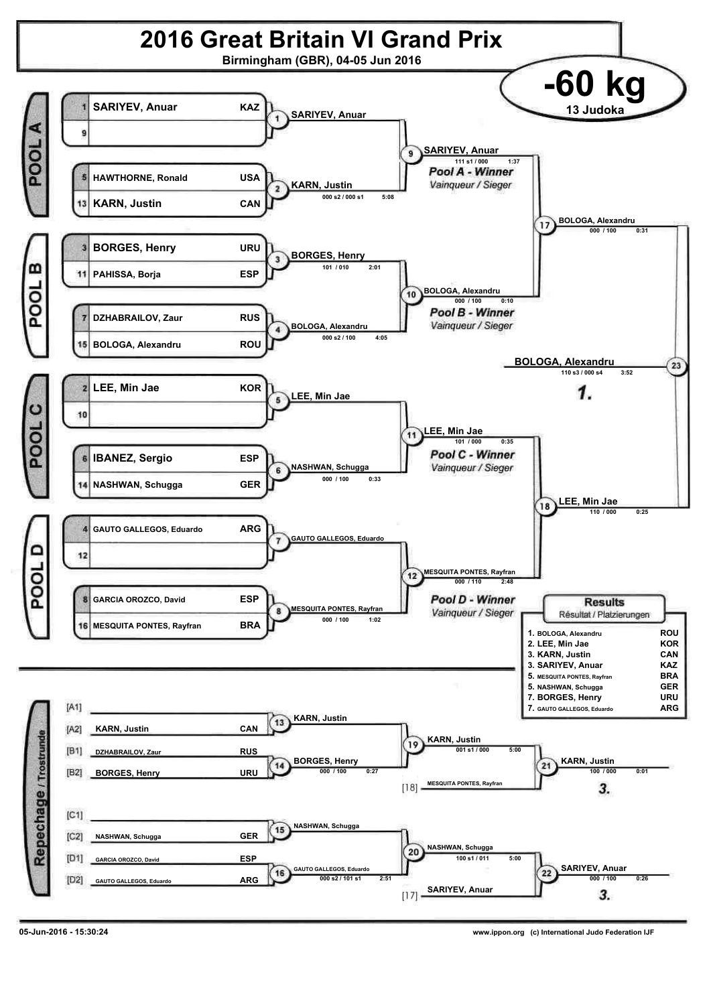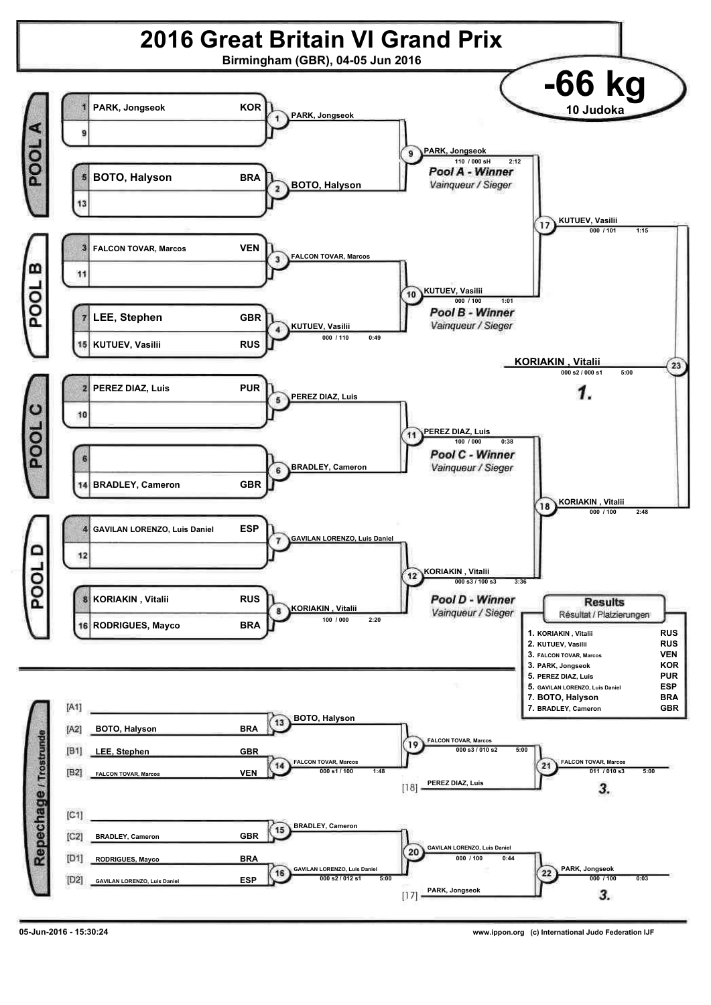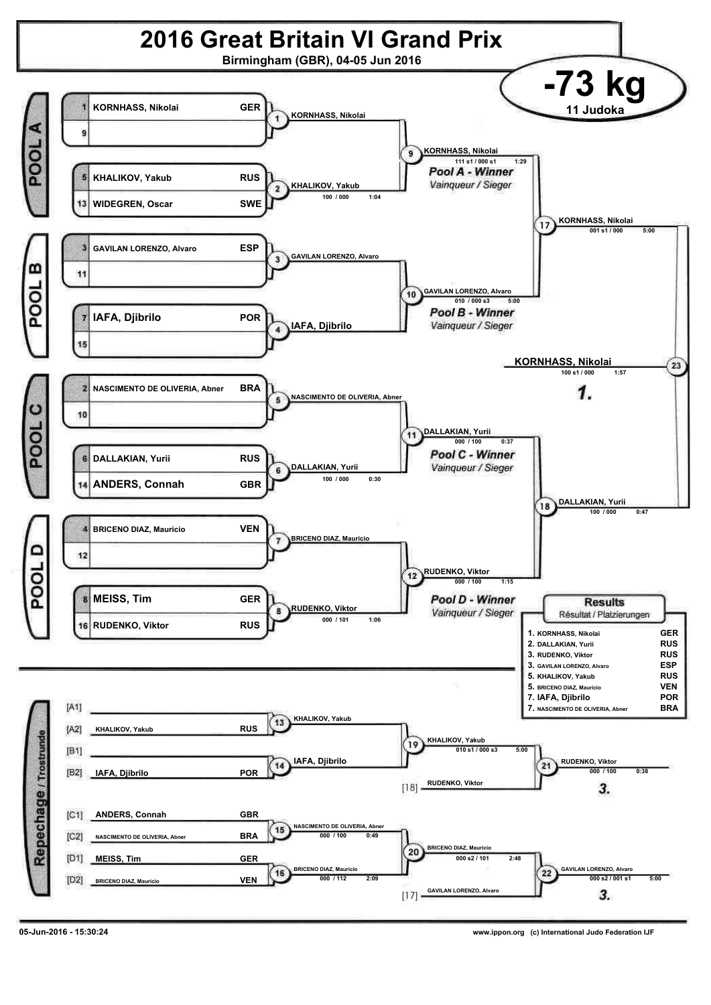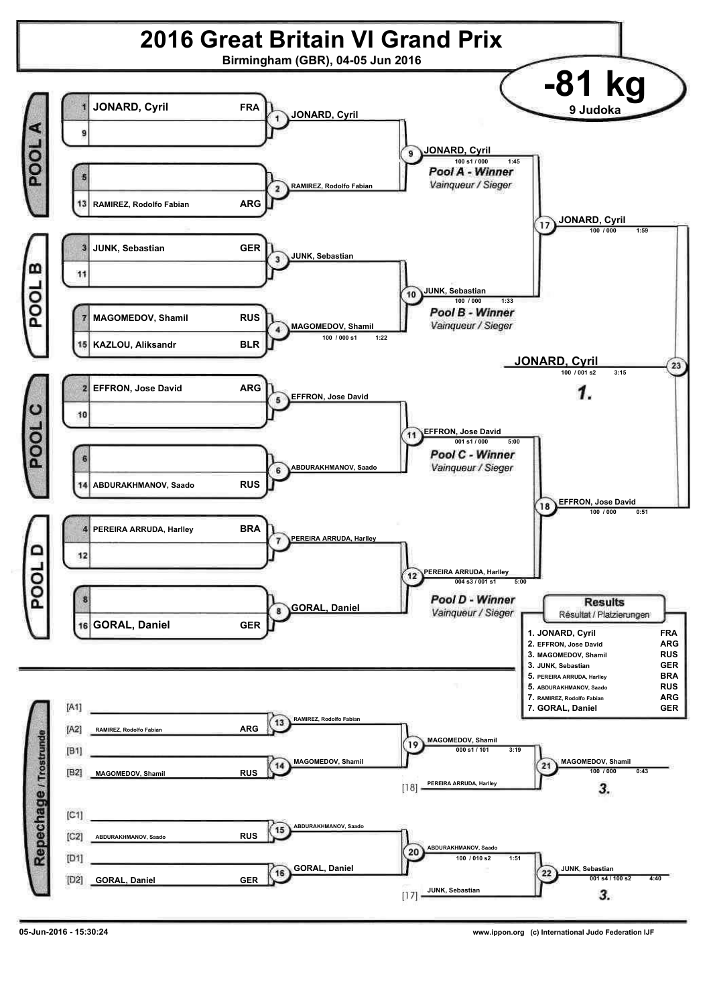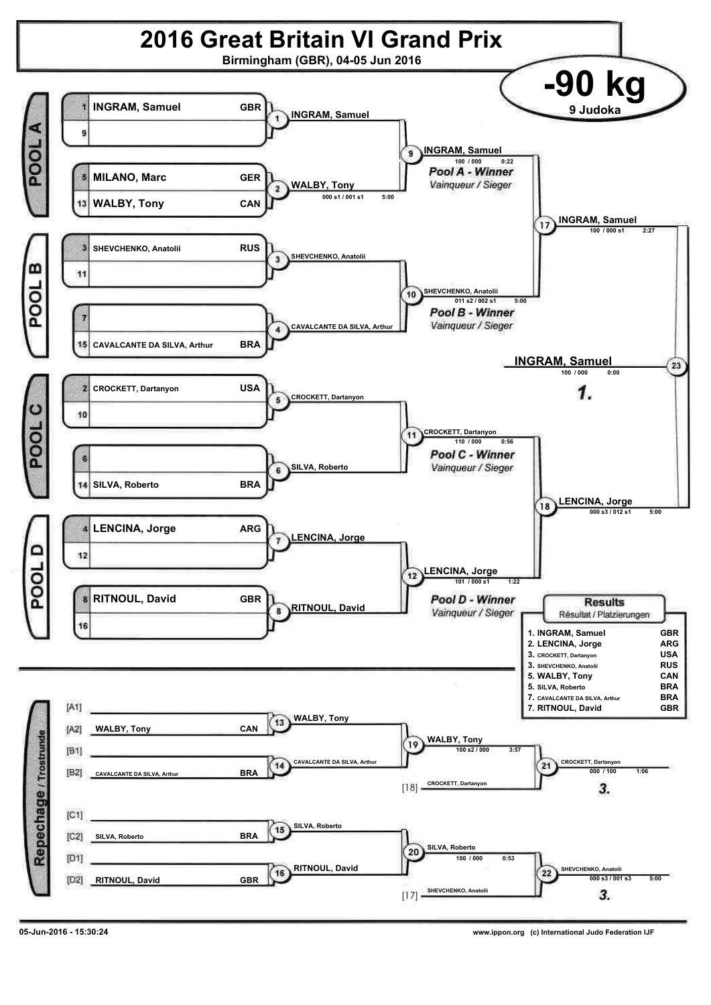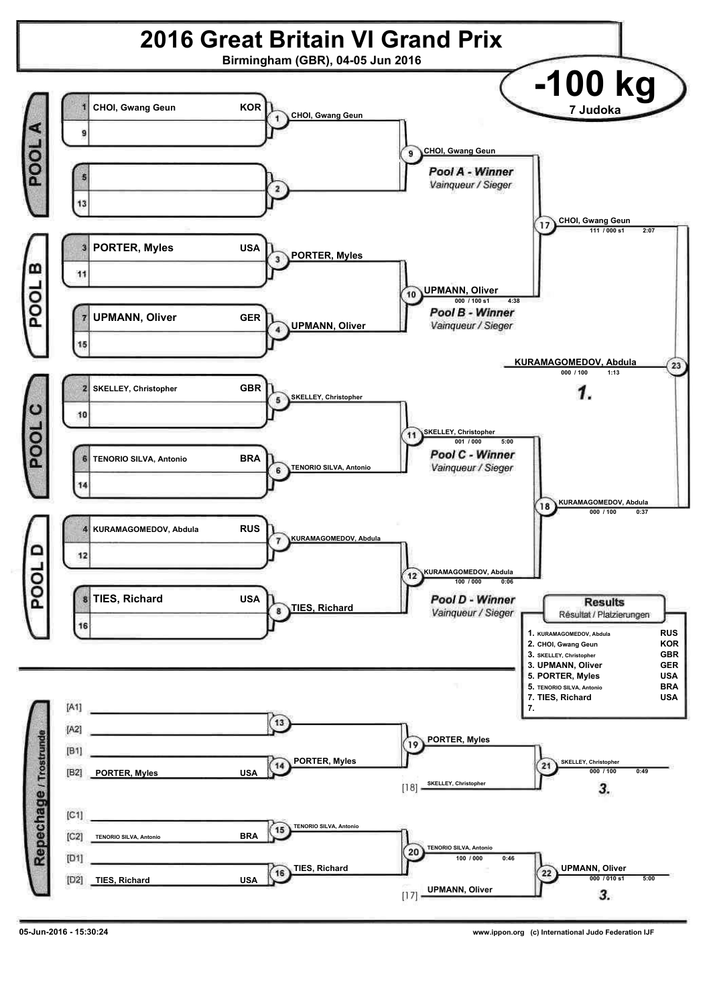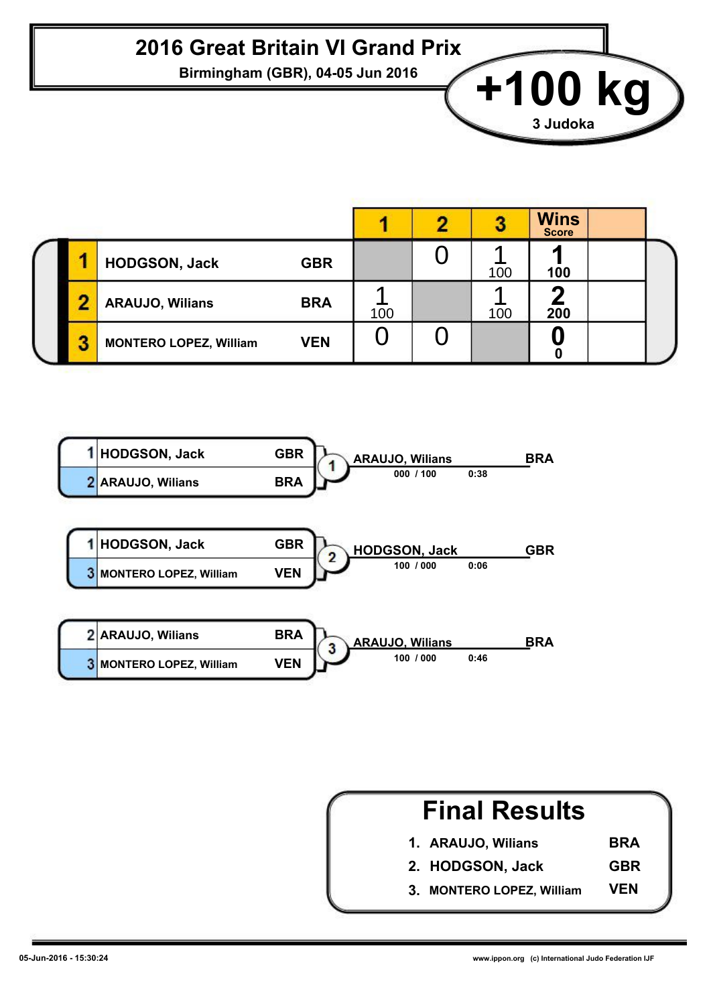**Birmingham (GBR), 04-05 Jun 2016 +100 kg** 

|   |                               |            |     |     | <b>Wins</b><br><b>Score</b> |  |
|---|-------------------------------|------------|-----|-----|-----------------------------|--|
|   | <b>HODGSON, Jack</b>          | <b>GBR</b> |     | 100 | 100                         |  |
| n | <b>ARAUJO, Wilians</b>        | <b>BRA</b> | 100 | 100 | 200                         |  |
| З | <b>MONTERO LOPEZ, William</b> | <b>VEN</b> |     |     |                             |  |



| <b>Final Results</b>      |            |
|---------------------------|------------|
| 1. ARAUJO, Wilians        | <b>BRA</b> |
| 2. HODGSON, Jack          | <b>GBR</b> |
| 3. MONTERO LOPEZ, William | VEN        |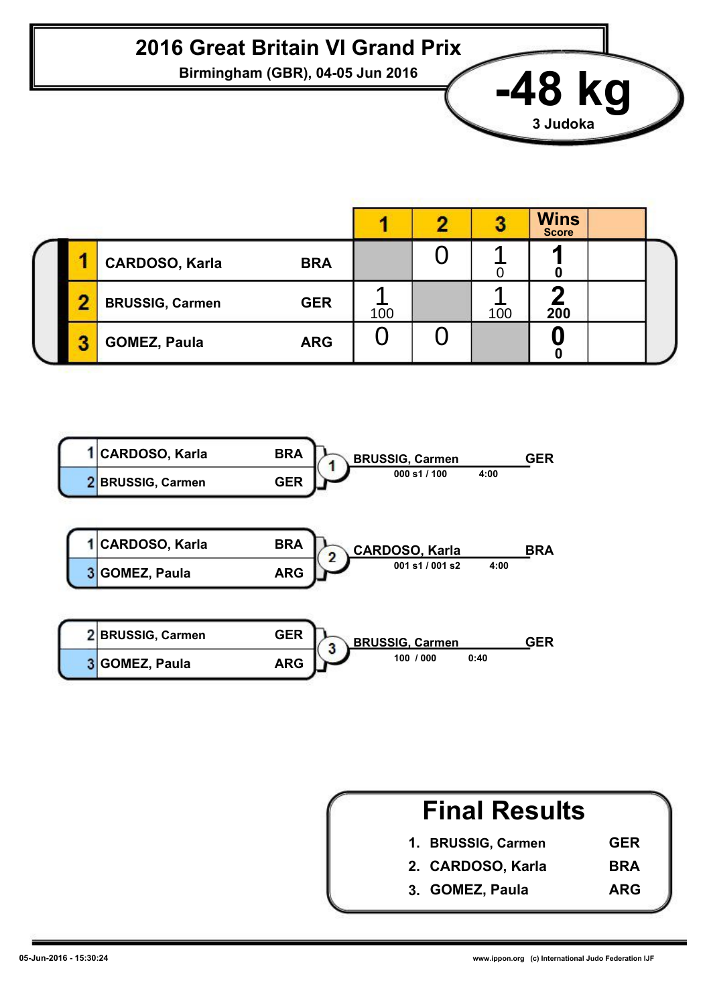**Birmingham (GBR), 04-05 Jun 2016 -48 kg**

|   |                                      |     |     | <b>Wins</b><br><b>Score</b> |  |
|---|--------------------------------------|-----|-----|-----------------------------|--|
|   | <b>CARDOSO, Karla</b><br><b>BRA</b>  |     |     |                             |  |
| n | <b>GER</b><br><b>BRUSSIG, Carmen</b> | 100 | 100 | 200                         |  |
|   | <b>GOMEZ, Paula</b><br><b>ARG</b>    |     |     |                             |  |



| <b>Final Results</b> |            |
|----------------------|------------|
| 1. BRUSSIG, Carmen   | <b>GER</b> |
| 2. CARDOSO, Karla    | <b>BRA</b> |
| 3. GOMEZ, Paula      | <b>ARG</b> |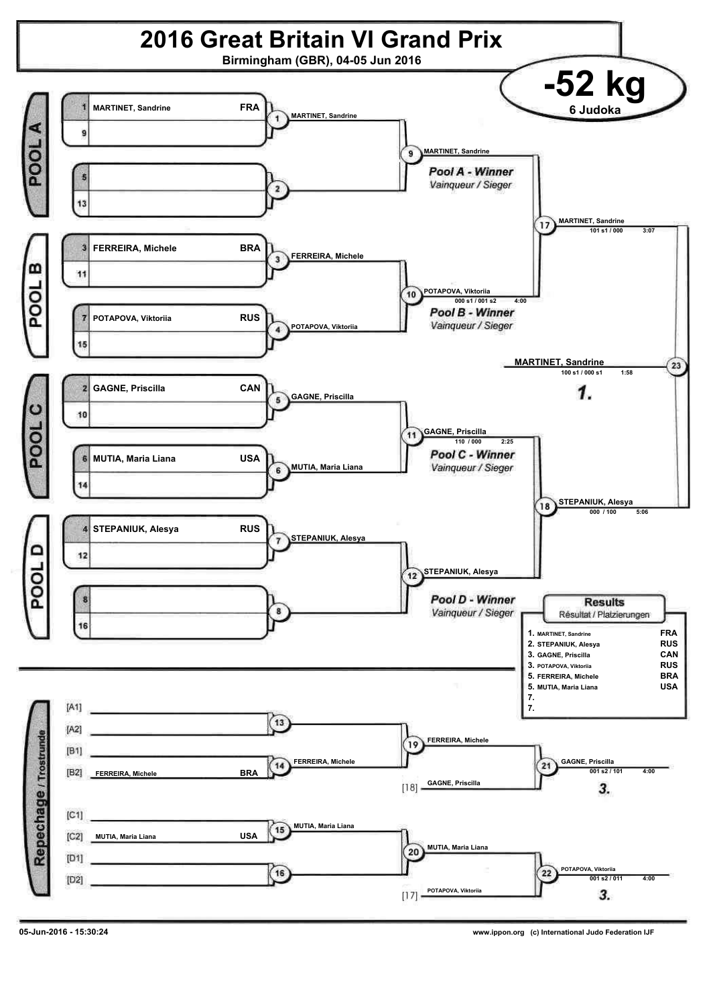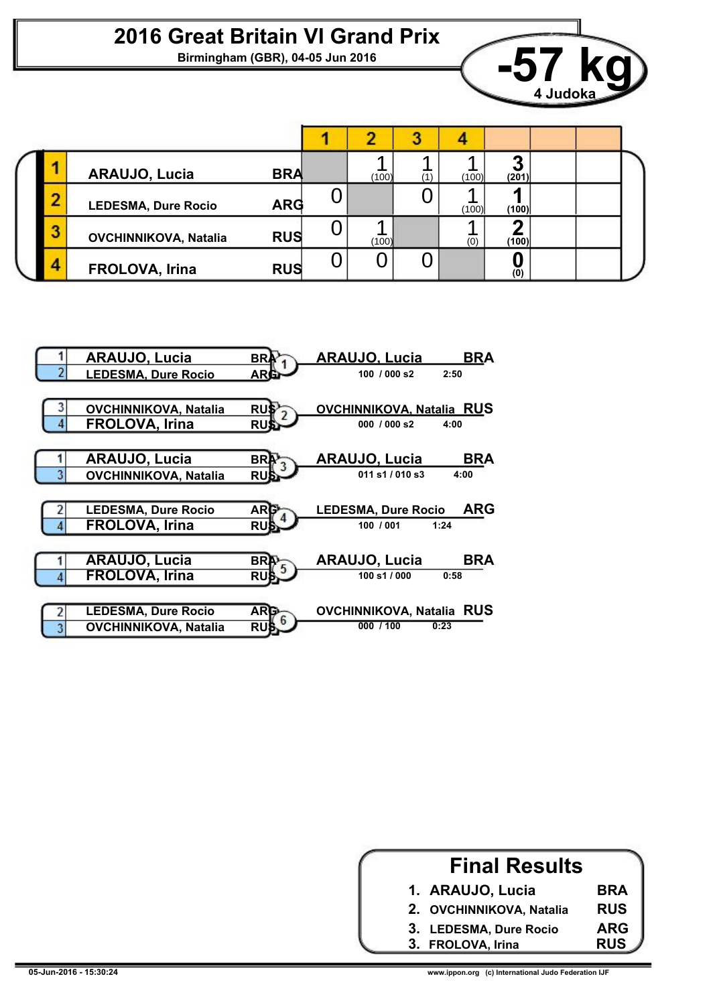

|   | <b>ARAUJO, Lucia</b>         | <b>BRA</b> |   | (100) | (100) | Ø<br>(201) |  |
|---|------------------------------|------------|---|-------|-------|------------|--|
|   | <b>LEDESMA, Dure Rocio</b>   | <b>ARG</b> |   |       | (100) | (100)      |  |
| J | <b>OVCHINNIKOVA, Natalia</b> | <b>RUS</b> | U | (100) | (0)   | (100)      |  |
|   | FROLOVA, Irina               | <b>RUS</b> |   |       |       | (0)        |  |



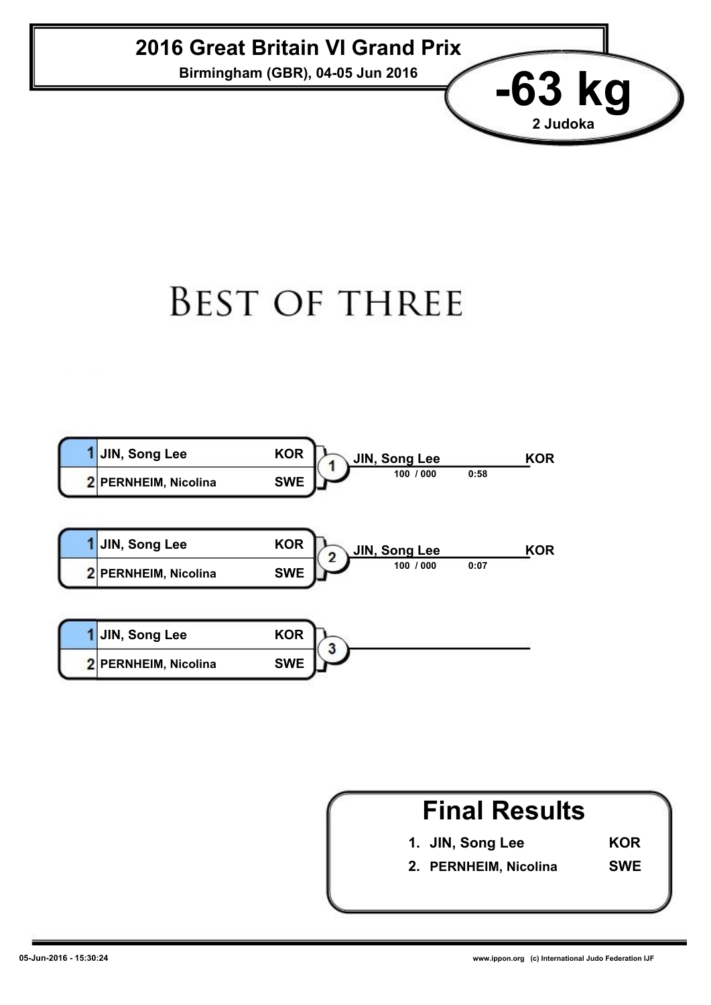**Birmingham (GBR), 04-05 Jun 2016 -63 kg**

## **BEST OF THREE**



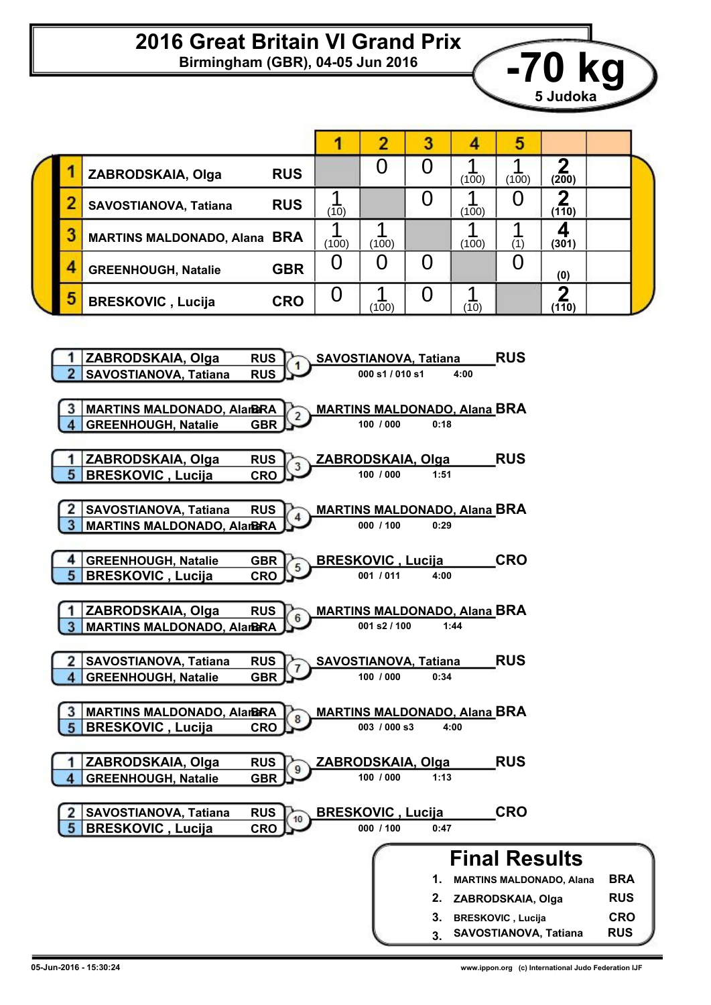**Birmingham (GBR), 04-05 Jun 2016 -70 kg**

|   |                                                                                                             | 1                            | $\overline{2}$                                                                         | 3              | 4                    | 5                         |                                  |                          |  |
|---|-------------------------------------------------------------------------------------------------------------|------------------------------|----------------------------------------------------------------------------------------|----------------|----------------------|---------------------------|----------------------------------|--------------------------|--|
|   | <b>RUS</b><br>ZABRODSKAIA, Olga                                                                             |                              | 0                                                                                      | 0              | 1<br>(100)           | 1<br>(100)                | $\overline{\mathbf{2}}$<br>(200) |                          |  |
| 2 | <b>RUS</b><br>SAVOSTIANOVA, Tatiana                                                                         | 1<br>(10)                    |                                                                                        | $\overline{0}$ | 1<br>(100)           | O                         | 2<br>(110)                       |                          |  |
| 3 | <b>MARTINS MALDONADO, Alana BRA</b>                                                                         | 1<br>(100)                   | 1<br>(100)                                                                             |                | 1<br>(100)           | 1<br>(1)                  | 4<br>(301)                       |                          |  |
| 4 | <b>GBR</b><br><b>GREENHOUGH, Natalie</b>                                                                    | 0                            | 0                                                                                      | $\overline{0}$ |                      | 0                         | (0)                              |                          |  |
| 5 | <b>CRO</b><br><b>BRESKOVIC, Lucija</b>                                                                      | 0                            | 1<br>(100)                                                                             | 0              | 1<br>(10)            |                           | $\overline{\mathbf{2}}$<br>(110) |                          |  |
|   | ZABRODSKAIA, Olga<br><b>RUS</b><br><b>RUS</b><br>SAVOSTIANOVA, Tatiana<br><b>MARTINS MALDONADO, AlarBRA</b> |                              | <b>SAVOSTIANOVA, Tatiana</b><br>000 s1 / 010 s1<br><b>MARTINS MALDONADO, Alana BRA</b> |                | 4:00                 | <b>RUS</b>                |                                  |                          |  |
|   | <b>GREENHOUGH, Natalie</b><br><b>GBR</b>                                                                    |                              | 100 / 000                                                                              | 0:18           |                      |                           |                                  |                          |  |
| 5 | ZABRODSKAIA, Olga<br><b>RUS</b><br><b>BRESKOVIC, Lucija</b><br><b>CRO</b>                                   |                              | ZABRODSKAIA, Olga<br>100 / 000                                                         | 1:51           |                      | <b>RUS</b>                |                                  |                          |  |
| 2 | SAVOSTIANOVA, Tatiana<br><b>RUS</b><br><b>MARTINS MALDONADO, AlarBRA</b>                                    |                              | <b>MARTINS MALDONADO, Alana BRA</b><br>000 / 100                                       | 0:29           |                      |                           |                                  |                          |  |
| 5 | <b>GREENHOUGH, Natalie</b><br><b>GBR</b><br><b>BRESKOVIC, Lucija</b><br><b>CRO</b>                          |                              | <b>BRESKOVIC, Lucija</b><br>001 / 011                                                  | 4:00           |                      | <b>CRO</b>                |                                  |                          |  |
|   | ZABRODSKAIA, Olga<br><b>RUS</b><br><b>MARTINS MALDONADO, AlarBRA</b>                                        |                              | <b>MARTINS MALDONADO, Alana BRA</b><br>001 s2 / 100                                    |                | 1:44                 |                           |                                  |                          |  |
| 2 | RUS $\n  l$<br><b>SAVOSTIANOVA, Tatiana</b><br><b>GREENHOUGH, Natalie</b><br><b>GBR</b>                     | <b>SAVOSTIANOVA, Tatiana</b> | 100 / 000                                                                              | 0:34           |                      | <b>RUS</b>                |                                  |                          |  |
|   | <b>MARTINS MALDONADO, AlarBRA</b><br><b>BRESKOVIC, Lucija</b><br><b>CRO</b>                                 |                              | <b>MARTINS MALDONADO, Alana BRA</b><br>003 / 000 s3                                    |                | 4:00                 |                           |                                  |                          |  |
|   | ZABRODSKAIA, Olga<br><b>RUS</b><br><b>GREENHOUGH, Natalie</b><br><b>GBR</b>                                 |                              | ZABRODSKAIA, Olga<br>100 / 000                                                         | 1:13           |                      | <b>RUS</b>                |                                  |                          |  |
| 5 | SAVOSTIANOVA, Tatiana<br><b>RUS</b><br><b>BRESKOVIC, Lucija</b><br><b>CRO</b>                               |                              | <b>BRESKOVIC, Lucija</b><br>000 / 100                                                  | 0:47           |                      | <b>CRO</b>                |                                  |                          |  |
|   |                                                                                                             |                              |                                                                                        |                | <b>Final Results</b> |                           |                                  |                          |  |
|   |                                                                                                             |                              |                                                                                        | 1.<br>2.       |                      | ZABRODSKAIA, Olga         | <b>MARTINS MALDONADO, Alana</b>  | <b>BRA</b><br><b>RUS</b> |  |
|   |                                                                                                             |                              |                                                                                        | 3.<br>3.       |                      | <b>BRESKOVIC</b> , Lucija | SAVOSTIANOVA, Tatiana            | <b>CRO</b><br><b>RUS</b> |  |